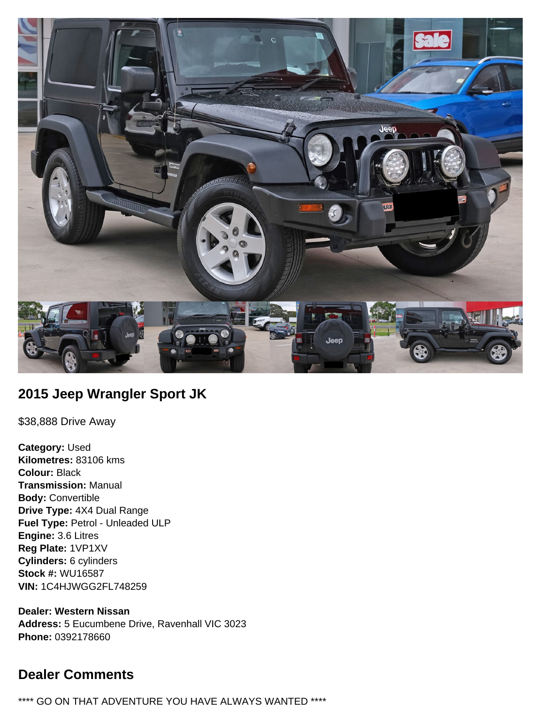

## **2015 Jeep Wrangler Sport JK**

\$38,888 Drive Away

**Category:** Used **Kilometres:** 83106 kms **Colour:** Black **Transmission:** Manual **Body:** Convertible **Drive Type:** 4X4 Dual Range **Fuel Type:** Petrol - Unleaded ULP **Engine:** 3.6 Litres **Reg Plate:** 1VP1XV **Cylinders:** 6 cylinders **Stock #:** WU16587 **VIN:** 1C4HJWGG2FL748259

**Dealer: Western Nissan Address:** 5 Eucumbene Drive, Ravenhall VIC 3023 **Phone:** 0392178660

# **Dealer Comments**

\*\*\*\* GO ON THAT ADVENTURE YOU HAVE ALWAYS WANTED \*\*\*\*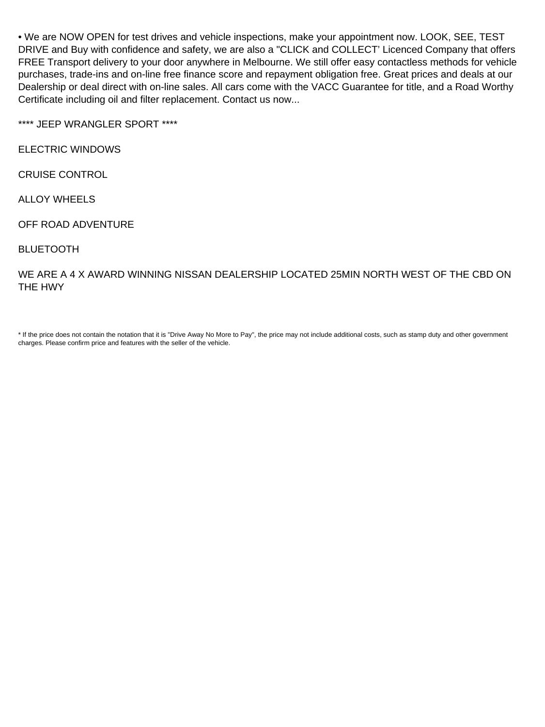• We are NOW OPEN for test drives and vehicle inspections, make your appointment now. LOOK, SEE, TEST DRIVE and Buy with confidence and safety, we are also a "CLICK and COLLECT' Licenced Company that offers FREE Transport delivery to your door anywhere in Melbourne. We still offer easy contactless methods for vehicle purchases, trade-ins and on-line free finance score and repayment obligation free. Great prices and deals at our Dealership or deal direct with on-line sales. All cars come with the VACC Guarantee for title, and a Road Worthy Certificate including oil and filter replacement. Contact us now...

\*\*\*\* JEEP WRANGLER SPORT \*\*\*\*

ELECTRIC WINDOWS

CRUISE CONTROL

ALLOY WHEELS

OFF ROAD ADVENTURE

BLUETOOTH

WE ARE A 4 X AWARD WINNING NISSAN DEALERSHIP LOCATED 25MIN NORTH WEST OF THE CBD ON THE HWY

\* If the price does not contain the notation that it is "Drive Away No More to Pay", the price may not include additional costs, such as stamp duty and other government charges. Please confirm price and features with the seller of the vehicle.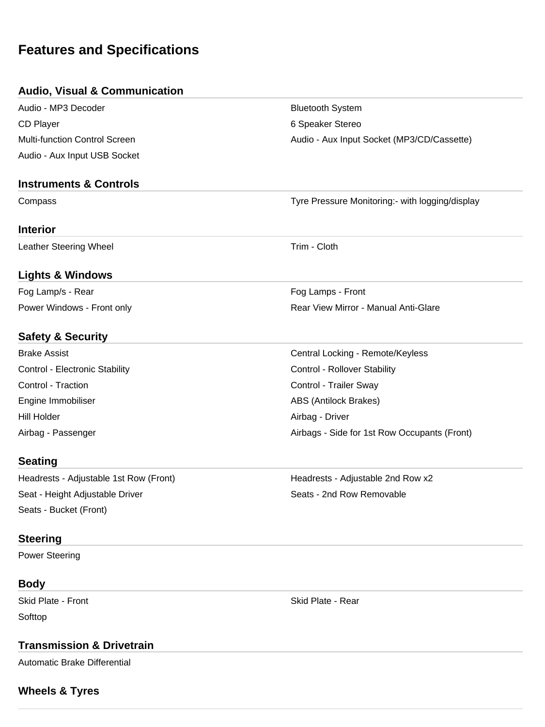# **Features and Specifications**

#### **Audio, Visual & Communication**

Audio - MP3 Decoder **Bluetooth System** Bluetooth System CD Player 6 Speaker Stereo Audio - Aux Input USB Socket

Multi-function Control Screen Audio - Audio - Aux Input Socket (MP3/CD/Cassette)

#### **Instruments & Controls**

Compass Tyre Pressure Monitoring:- with logging/display

#### **Interior**

Leather Steering Wheel **Trim** - Cloth

#### **Lights & Windows**

Fog Lamp/s - Rear Fog Lamps - Front Power Windows - Front only **Rear View Mirror - Manual Anti-Glare** Rear View Mirror - Manual Anti-Glare

#### **Safety & Security**

Brake Assist Central Locking - Remote/Keyless Control - Electronic Stability **Control - Rollover Stability** Control - Rollover Stability Control - Traction Control - Trailer Sway Engine Immobiliser ABS (Antilock Brakes) Hill Holder Airbag - Driver Airbag - Passenger **Airbags - Side for 1st Row Occupants (Front)** 

#### **Seating**

Headrests - Adjustable 1st Row (Front) **Headrests - Adjustable 2nd Row x2** Seat - Height Adjustable Driver Seats - 2nd Row Removable Seats - Bucket (Front)

#### **Steering**

Power Steering

### **Body**

**Softtop** 

#### **Transmission & Drivetrain**

Automatic Brake Differential

#### **Wheels & Tyres**

Skid Plate - Front Skid Plate - Rear